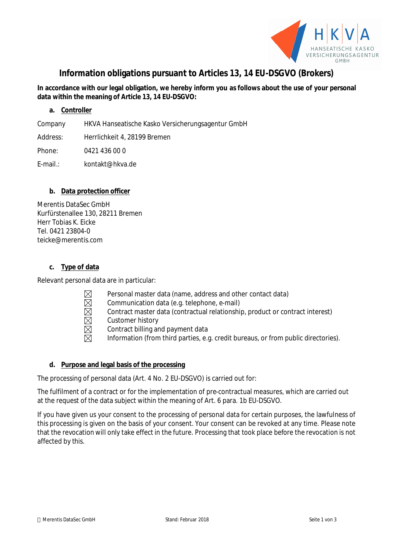

# **Information obligations pursuant to Articles 13, 14 EU-DSGVO (Brokers)**

# **In accordance with our legal obligation, we hereby inform you as follows about the use of your personal data within the meaning of Article 13, 14 EU-DSGVO:**

## **a. Controller**

Company HKVA Hanseatische Kasko Versicherungsagentur GmbH

Address: Herrlichkeit 4, 28199 Bremen

Phone: 0421 436 00 0

E-mail.: kontakt@hkva.de

## **b. Data protection officer**

Merentis DataSec GmbH Kurfürstenallee 130, 28211 Bremen Herr Tobias K. Eicke Tel. 0421 23804-0 teicke@merentis.com

## **c. Type of data**

Relevant personal data are in particular:

- Personal master data (name, address and other contact data)
- Communication data (e.g. telephone, e-mail)
- $\boxtimes$ Contract master data (contractual relationship, product or contract interest)
- Customer history
- Contract billing and payment data
- Information (from third parties, e.g. credit bureaus, or from public directories).

## **d. Purpose and legal basis of the processing**

The processing of personal data (Art. 4 No. 2 EU-DSGVO) is carried out for:

The fulfilment of a contract or for the implementation of pre-contractual measures, which are carried out at the request of the data subject within the meaning of Art. 6 para. 1b EU-DSGVO.

If you have given us your consent to the processing of personal data for certain purposes, the lawfulness of this processing is given on the basis of your consent. Your consent can be revoked at any time. Please note that the revocation will only take effect in the future. Processing that took place before the revocation is not affected by this.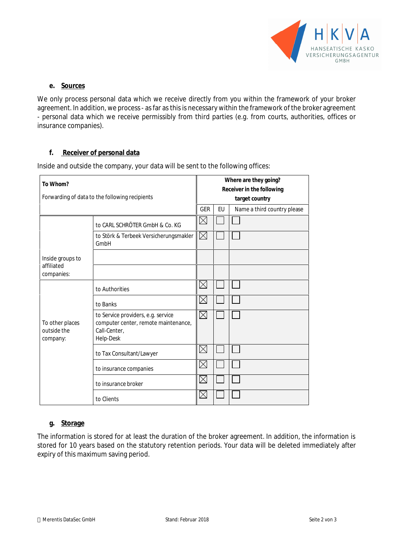

## **e. Sources**

We only process personal data which we receive directly from you within the framework of your broker agreement. In addition, we process - as far as this is necessary within the framework of the broker agreement - personal data which we receive permissibly from third parties (e.g. from courts, authorities, offices or insurance companies).

## **f. Receiver of personal data**

Inside and outside the company, your data will be sent to the following offices:

| To Whom?<br>Forwarding of data to the following recipients |                                                                                                         | Where are they going?<br><b>Receiver in the following</b><br>target country |  |  |
|------------------------------------------------------------|---------------------------------------------------------------------------------------------------------|-----------------------------------------------------------------------------|--|--|
|                                                            |                                                                                                         |                                                                             |  |  |
|                                                            | to CARL SCHRÖTER GmbH & Co. KG                                                                          | $\boxtimes$                                                                 |  |  |
|                                                            | to Störk & Terbeek Versicherungsmakler<br>GmbH                                                          | $\boxtimes$                                                                 |  |  |
| Inside groups to<br>affiliated<br>companies:               |                                                                                                         |                                                                             |  |  |
|                                                            | to Authorities                                                                                          | $\boxtimes$                                                                 |  |  |
|                                                            | to Banks                                                                                                | $\boxtimes$                                                                 |  |  |
| To other places<br>outside the<br>company:                 | to Service providers, e.g. service<br>computer center, remote maintenance,<br>Call-Center,<br>Help-Desk | $\boxtimes$                                                                 |  |  |
|                                                            | to Tax Consultant/Lawyer                                                                                | $\times$                                                                    |  |  |
|                                                            | to insurance companies                                                                                  | $\boxtimes$                                                                 |  |  |
|                                                            | to insurance broker                                                                                     | $\boxtimes$                                                                 |  |  |
|                                                            | to Clients                                                                                              | $\times$                                                                    |  |  |

## **g. Storage**

The information is stored for at least the duration of the broker agreement. In addition, the information is stored for 10 years based on the statutory retention periods. Your data will be deleted immediately after expiry of this maximum saving period.